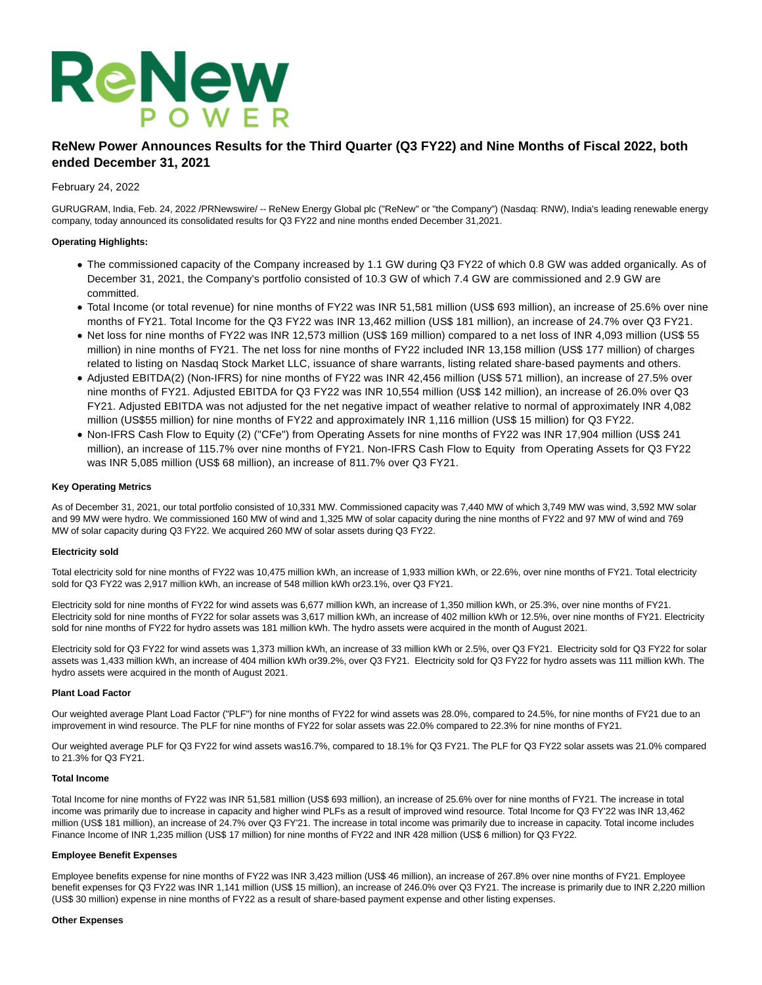

# **ReNew Power Announces Results for the Third Quarter (Q3 FY22) and Nine Months of Fiscal 2022, both ended December 31, 2021**

## February 24, 2022

GURUGRAM, India, Feb. 24, 2022 /PRNewswire/ -- ReNew Energy Global plc ("ReNew" or "the Company") (Nasdaq: RNW), India's leading renewable energy company, today announced its consolidated results for Q3 FY22 and nine months ended December 31,2021.

## **Operating Highlights:**

- The commissioned capacity of the Company increased by 1.1 GW during Q3 FY22 of which 0.8 GW was added organically. As of December 31, 2021, the Company's portfolio consisted of 10.3 GW of which 7.4 GW are commissioned and 2.9 GW are committed.
- Total Income (or total revenue) for nine months of FY22 was INR 51,581 million (US\$ 693 million), an increase of 25.6% over nine months of FY21. Total Income for the Q3 FY22 was INR 13,462 million (US\$ 181 million), an increase of 24.7% over Q3 FY21.
- Net loss for nine months of FY22 was INR 12,573 million (US\$ 169 million) compared to a net loss of INR 4,093 million (US\$ 55 million) in nine months of FY21. The net loss for nine months of FY22 included INR 13,158 million (US\$ 177 million) of charges related to listing on Nasdaq Stock Market LLC, issuance of share warrants, listing related share-based payments and others.
- Adjusted EBITDA(2) (Non-IFRS) for nine months of FY22 was INR 42,456 million (US\$ 571 million), an increase of 27.5% over nine months of FY21. Adjusted EBITDA for Q3 FY22 was INR 10,554 million (US\$ 142 million), an increase of 26.0% over Q3 FY21. Adjusted EBITDA was not adjusted for the net negative impact of weather relative to normal of approximately INR 4,082 million (US\$55 million) for nine months of FY22 and approximately INR 1,116 million (US\$ 15 million) for Q3 FY22.
- Non-IFRS Cash Flow to Equity (2) ("CFe") from Operating Assets for nine months of FY22 was INR 17,904 million (US\$ 241 million), an increase of 115.7% over nine months of FY21. Non-IFRS Cash Flow to Equity from Operating Assets for Q3 FY22 was INR 5,085 million (US\$ 68 million), an increase of 811.7% over Q3 FY21.

#### **Key Operating Metrics**

As of December 31, 2021, our total portfolio consisted of 10,331 MW. Commissioned capacity was 7,440 MW of which 3,749 MW was wind, 3,592 MW solar and 99 MW were hydro. We commissioned 160 MW of wind and 1,325 MW of solar capacity during the nine months of FY22 and 97 MW of wind and 769 MW of solar capacity during Q3 FY22. We acquired 260 MW of solar assets during Q3 FY22.

## **Electricity sold**

Total electricity sold for nine months of FY22 was 10,475 million kWh, an increase of 1,933 million kWh, or 22.6%, over nine months of FY21. Total electricity sold for Q3 FY22 was 2,917 million kWh, an increase of 548 million kWh or23.1%, over Q3 FY21.

Electricity sold for nine months of FY22 for wind assets was 6,677 million kWh, an increase of 1,350 million kWh, or 25.3%, over nine months of FY21. Electricity sold for nine months of FY22 for solar assets was 3,617 million kWh, an increase of 402 million kWh or 12.5%, over nine months of FY21. Electricity sold for nine months of FY22 for hydro assets was 181 million kWh. The hydro assets were acquired in the month of August 2021.

Electricity sold for Q3 FY22 for wind assets was 1,373 million kWh, an increase of 33 million kWh or 2.5%, over Q3 FY21. Electricity sold for Q3 FY22 for solar assets was 1,433 million kWh, an increase of 404 million kWh or39.2%, over Q3 FY21. Electricity sold for Q3 FY22 for hydro assets was 111 million kWh. The hydro assets were acquired in the month of August 2021.

#### **Plant Load Factor**

Our weighted average Plant Load Factor ("PLF") for nine months of FY22 for wind assets was 28.0%, compared to 24.5%, for nine months of FY21 due to an improvement in wind resource. The PLF for nine months of FY22 for solar assets was 22.0% compared to 22.3% for nine months of FY21.

Our weighted average PLF for Q3 FY22 for wind assets was16.7%, compared to 18.1% for Q3 FY21. The PLF for Q3 FY22 solar assets was 21.0% compared to 21.3% for Q3 FY21.

## **Total Income**

Total Income for nine months of FY22 was INR 51,581 million (US\$ 693 million), an increase of 25.6% over for nine months of FY21. The increase in total income was primarily due to increase in capacity and higher wind PLFs as a result of improved wind resource. Total Income for Q3 FY'22 was INR 13,462 million (US\$ 181 million), an increase of 24.7% over Q3 FY'21. The increase in total income was primarily due to increase in capacity. Total income includes Finance Income of INR 1,235 million (US\$ 17 million) for nine months of FY22 and INR 428 million (US\$ 6 million) for Q3 FY22.

#### **Employee Benefit Expenses**

Employee benefits expense for nine months of FY22 was INR 3,423 million (US\$ 46 million), an increase of 267.8% over nine months of FY21. Employee benefit expenses for Q3 FY22 was INR 1,141 million (US\$ 15 million), an increase of 246.0% over Q3 FY21. The increase is primarily due to INR 2,220 million (US\$ 30 million) expense in nine months of FY22 as a result of share-based payment expense and other listing expenses.

#### **Other Expenses**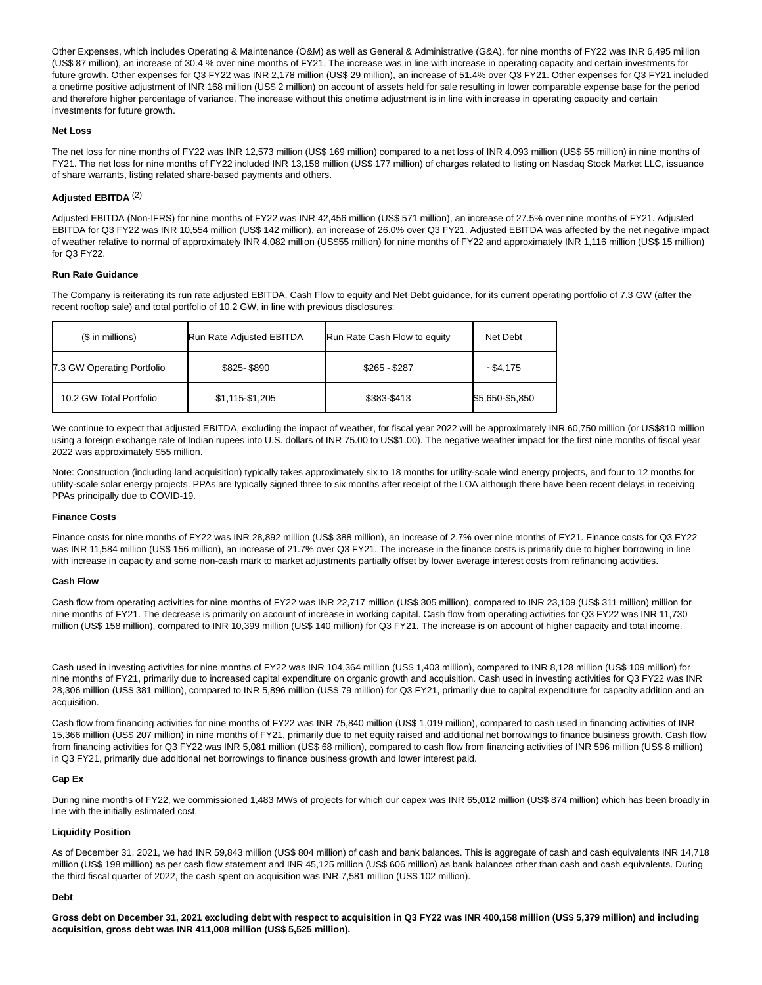Other Expenses, which includes Operating & Maintenance (O&M) as well as General & Administrative (G&A), for nine months of FY22 was INR 6,495 million (US\$ 87 million), an increase of 30.4 % over nine months of FY21. The increase was in line with increase in operating capacity and certain investments for future growth. Other expenses for Q3 FY22 was INR 2,178 million (US\$ 29 million), an increase of 51.4% over Q3 FY21. Other expenses for Q3 FY21 included a onetime positive adjustment of INR 168 million (US\$ 2 million) on account of assets held for sale resulting in lower comparable expense base for the period and therefore higher percentage of variance. The increase without this onetime adjustment is in line with increase in operating capacity and certain investments for future growth.

## **Net Loss**

The net loss for nine months of FY22 was INR 12,573 million (US\$ 169 million) compared to a net loss of INR 4,093 million (US\$ 55 million) in nine months of FY21. The net loss for nine months of FY22 included INR 13,158 million (US\$ 177 million) of charges related to listing on Nasdaq Stock Market LLC, issuance of share warrants, listing related share-based payments and others.

## **Adjusted EBITDA** (2)

Adjusted EBITDA (Non-IFRS) for nine months of FY22 was INR 42,456 million (US\$ 571 million), an increase of 27.5% over nine months of FY21. Adjusted EBITDA for Q3 FY22 was INR 10,554 million (US\$ 142 million), an increase of 26.0% over Q3 FY21. Adjusted EBITDA was affected by the net negative impact of weather relative to normal of approximately INR 4,082 million (US\$55 million) for nine months of FY22 and approximately INR 1,116 million (US\$ 15 million) for Q3 FY22.

## **Run Rate Guidance**

The Company is reiterating its run rate adjusted EBITDA, Cash Flow to equity and Net Debt guidance, for its current operating portfolio of 7.3 GW (after the recent rooftop sale) and total portfolio of 10.2 GW, in line with previous disclosures:

| (\$ in millions)           | Run Rate Adjusted EBITDA | Run Rate Cash Flow to equity | Net Debt        |
|----------------------------|--------------------------|------------------------------|-----------------|
| 7.3 GW Operating Portfolio | \$825-\$890              | $$265 - $287$                | ~54.175         |
| 10.2 GW Total Portfolio    | \$1,115-\$1,205          | \$383-\$413                  | \$5,650-\$5,850 |

We continue to expect that adjusted EBITDA, excluding the impact of weather, for fiscal year 2022 will be approximately INR 60,750 million (or US\$810 million using a foreign exchange rate of Indian rupees into U.S. dollars of INR 75.00 to US\$1.00). The negative weather impact for the first nine months of fiscal year 2022 was approximately \$55 million.

Note: Construction (including land acquisition) typically takes approximately six to 18 months for utility-scale wind energy projects, and four to 12 months for utility-scale solar energy projects. PPAs are typically signed three to six months after receipt of the LOA although there have been recent delays in receiving PPAs principally due to COVID-19.

## **Finance Costs**

Finance costs for nine months of FY22 was INR 28,892 million (US\$ 388 million), an increase of 2.7% over nine months of FY21. Finance costs for Q3 FY22 was INR 11,584 million (US\$ 156 million), an increase of 21.7% over Q3 FY21. The increase in the finance costs is primarily due to higher borrowing in line with increase in capacity and some non-cash mark to market adjustments partially offset by lower average interest costs from refinancing activities.

## **Cash Flow**

Cash flow from operating activities for nine months of FY22 was INR 22,717 million (US\$ 305 million), compared to INR 23,109 (US\$ 311 million) million for nine months of FY21. The decrease is primarily on account of increase in working capital. Cash flow from operating activities for Q3 FY22 was INR 11,730 million (US\$ 158 million), compared to INR 10,399 million (US\$ 140 million) for Q3 FY21. The increase is on account of higher capacity and total income.

Cash used in investing activities for nine months of FY22 was INR 104,364 million (US\$ 1,403 million), compared to INR 8,128 million (US\$ 109 million) for nine months of FY21, primarily due to increased capital expenditure on organic growth and acquisition. Cash used in investing activities for Q3 FY22 was INR 28,306 million (US\$ 381 million), compared to INR 5,896 million (US\$ 79 million) for Q3 FY21, primarily due to capital expenditure for capacity addition and an acquisition.

Cash flow from financing activities for nine months of FY22 was INR 75,840 million (US\$ 1,019 million), compared to cash used in financing activities of INR 15,366 million (US\$ 207 million) in nine months of FY21, primarily due to net equity raised and additional net borrowings to finance business growth. Cash flow from financing activities for Q3 FY22 was INR 5,081 million (US\$ 68 million), compared to cash flow from financing activities of INR 596 million (US\$ 8 million) in Q3 FY21, primarily due additional net borrowings to finance business growth and lower interest paid.

## **Cap Ex**

During nine months of FY22, we commissioned 1,483 MWs of projects for which our capex was INR 65,012 million (US\$ 874 million) which has been broadly in line with the initially estimated cost.

## **Liquidity Position**

As of December 31, 2021, we had INR 59,843 million (US\$ 804 million) of cash and bank balances. This is aggregate of cash and cash equivalents INR 14,718 million (US\$ 198 million) as per cash flow statement and INR 45,125 million (US\$ 606 million) as bank balances other than cash and cash equivalents. During the third fiscal quarter of 2022, the cash spent on acquisition was INR 7,581 million (US\$ 102 million).

## **Debt**

**Gross debt on December 31, 2021 excluding debt with respect to acquisition in Q3 FY22 was INR 400,158 million (US\$ 5,379 million) and including acquisition, gross debt was INR 411,008 million (US\$ 5,525 million).**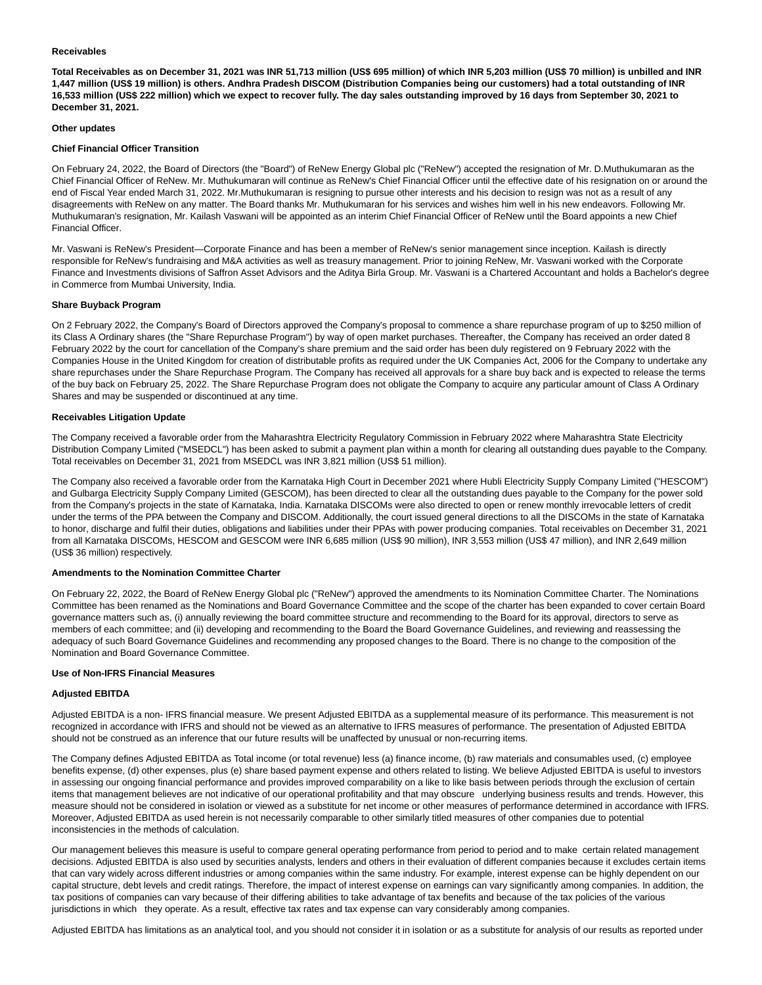#### **Receivables**

**Total Receivables as on December 31, 2021 was INR 51,713 million (US\$ 695 million) of which INR 5,203 million (US\$ 70 million) is unbilled and INR 1,447 million (US\$ 19 million) is others. Andhra Pradesh DISCOM (Distribution Companies being our customers) had a total outstanding of INR 16,533 million (US\$ 222 million) which we expect to recover fully. The day sales outstanding improved by 16 days from September 30, 2021 to December 31, 2021.**

#### **Other updates**

#### **Chief Financial Officer Transition**

On February 24, 2022, the Board of Directors (the "Board") of ReNew Energy Global plc ("ReNew") accepted the resignation of Mr. D.Muthukumaran as the Chief Financial Officer of ReNew. Mr. Muthukumaran will continue as ReNew's Chief Financial Officer until the effective date of his resignation on or around the end of Fiscal Year ended March 31, 2022. Mr.Muthukumaran is resigning to pursue other interests and his decision to resign was not as a result of any disagreements with ReNew on any matter. The Board thanks Mr. Muthukumaran for his services and wishes him well in his new endeavors. Following Mr. Muthukumaran's resignation, Mr. Kailash Vaswani will be appointed as an interim Chief Financial Officer of ReNew until the Board appoints a new Chief Financial Officer.

Mr. Vaswani is ReNew's President—Corporate Finance and has been a member of ReNew's senior management since inception. Kailash is directly responsible for ReNew's fundraising and M&A activities as well as treasury management. Prior to joining ReNew, Mr. Vaswani worked with the Corporate Finance and Investments divisions of Saffron Asset Advisors and the Aditya Birla Group. Mr. Vaswani is a Chartered Accountant and holds a Bachelor's degree in Commerce from Mumbai University, India.

#### **Share Buyback Program**

On 2 February 2022, the Company's Board of Directors approved the Company's proposal to commence a share repurchase program of up to \$250 million of its Class A Ordinary shares (the "Share Repurchase Program") by way of open market purchases. Thereafter, the Company has received an order dated 8 February 2022 by the court for cancellation of the Company's share premium and the said order has been duly registered on 9 February 2022 with the Companies House in the United Kingdom for creation of distributable profits as required under the UK Companies Act, 2006 for the Company to undertake any share repurchases under the Share Repurchase Program. The Company has received all approvals for a share buy back and is expected to release the terms of the buy back on February 25, 2022. The Share Repurchase Program does not obligate the Company to acquire any particular amount of Class A Ordinary Shares and may be suspended or discontinued at any time.

#### **Receivables Litigation Update**

The Company received a favorable order from the Maharashtra Electricity Regulatory Commission in February 2022 where Maharashtra State Electricity Distribution Company Limited ("MSEDCL") has been asked to submit a payment plan within a month for clearing all outstanding dues payable to the Company. Total receivables on December 31, 2021 from MSEDCL was INR 3,821 million (US\$ 51 million).

The Company also received a favorable order from the Karnataka High Court in December 2021 where Hubli Electricity Supply Company Limited ("HESCOM") and Gulbarga Electricity Supply Company Limited (GESCOM), has been directed to clear all the outstanding dues payable to the Company for the power sold from the Company's projects in the state of Karnataka, India. Karnataka DISCOMs were also directed to open or renew monthly irrevocable letters of credit under the terms of the PPA between the Company and DISCOM. Additionally, the court issued general directions to all the DISCOMs in the state of Karnataka to honor, discharge and fulfil their duties, obligations and liabilities under their PPAs with power producing companies. Total receivables on December 31, 2021 from all Karnataka DISCOMs, HESCOM and GESCOM were INR 6,685 million (US\$ 90 million), INR 3,553 million (US\$ 47 million), and INR 2,649 million (US\$ 36 million) respectively.

#### **Amendments to the Nomination Committee Charter**

On February 22, 2022, the Board of ReNew Energy Global plc ("ReNew") approved the amendments to its Nomination Committee Charter. The Nominations Committee has been renamed as the Nominations and Board Governance Committee and the scope of the charter has been expanded to cover certain Board governance matters such as, (i) annually reviewing the board committee structure and recommending to the Board for its approval, directors to serve as members of each committee; and (ii) developing and recommending to the Board the Board Governance Guidelines, and reviewing and reassessing the adequacy of such Board Governance Guidelines and recommending any proposed changes to the Board. There is no change to the composition of the Nomination and Board Governance Committee.

#### **Use of Non-IFRS Financial Measures**

#### **Adjusted EBITDA**

Adjusted EBITDA is a non- IFRS financial measure. We present Adjusted EBITDA as a supplemental measure of its performance. This measurement is not recognized in accordance with IFRS and should not be viewed as an alternative to IFRS measures of performance. The presentation of Adjusted EBITDA should not be construed as an inference that our future results will be unaffected by unusual or non-recurring items.

The Company defines Adjusted EBITDA as Total income (or total revenue) less (a) finance income, (b) raw materials and consumables used, (c) employee benefits expense, (d) other expenses, plus (e) share based payment expense and others related to listing. We believe Adjusted EBITDA is useful to investors in assessing our ongoing financial performance and provides improved comparability on a like to like basis between periods through the exclusion of certain items that management believes are not indicative of our operational profitability and that may obscure underlying business results and trends. However, this measure should not be considered in isolation or viewed as a substitute for net income or other measures of performance determined in accordance with IFRS. Moreover, Adjusted EBITDA as used herein is not necessarily comparable to other similarly titled measures of other companies due to potential inconsistencies in the methods of calculation.

Our management believes this measure is useful to compare general operating performance from period to period and to make certain related management decisions. Adjusted EBITDA is also used by securities analysts, lenders and others in their evaluation of different companies because it excludes certain items that can vary widely across different industries or among companies within the same industry. For example, interest expense can be highly dependent on our capital structure, debt levels and credit ratings. Therefore, the impact of interest expense on earnings can vary significantly among companies. In addition, the tax positions of companies can vary because of their differing abilities to take advantage of tax benefits and because of the tax policies of the various jurisdictions in which they operate. As a result, effective tax rates and tax expense can vary considerably among companies.

Adjusted EBITDA has limitations as an analytical tool, and you should not consider it in isolation or as a substitute for analysis of our results as reported under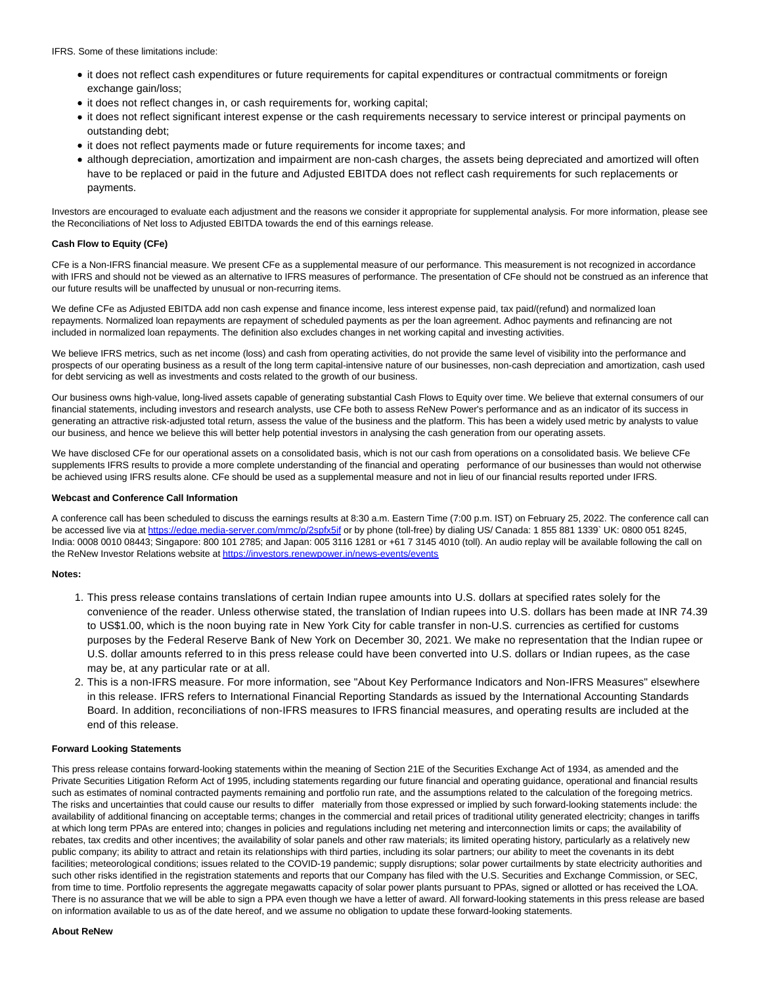IFRS. Some of these limitations include:

- it does not reflect cash expenditures or future requirements for capital expenditures or contractual commitments or foreign exchange gain/loss;
- it does not reflect changes in, or cash requirements for, working capital;
- it does not reflect significant interest expense or the cash requirements necessary to service interest or principal payments on outstanding debt;
- it does not reflect payments made or future requirements for income taxes; and
- although depreciation, amortization and impairment are non-cash charges, the assets being depreciated and amortized will often have to be replaced or paid in the future and Adjusted EBITDA does not reflect cash requirements for such replacements or payments.

Investors are encouraged to evaluate each adjustment and the reasons we consider it appropriate for supplemental analysis. For more information, please see the Reconciliations of Net loss to Adjusted EBITDA towards the end of this earnings release.

## **Cash Flow to Equity (CFe)**

CFe is a Non-IFRS financial measure. We present CFe as a supplemental measure of our performance. This measurement is not recognized in accordance with IFRS and should not be viewed as an alternative to IFRS measures of performance. The presentation of CFe should not be construed as an inference that our future results will be unaffected by unusual or non-recurring items.

We define CFe as Adjusted EBITDA add non cash expense and finance income, less interest expense paid, tax paid/(refund) and normalized loan repayments. Normalized loan repayments are repayment of scheduled payments as per the loan agreement. Adhoc payments and refinancing are not included in normalized loan repayments. The definition also excludes changes in net working capital and investing activities.

We believe IFRS metrics, such as net income (loss) and cash from operating activities, do not provide the same level of visibility into the performance and prospects of our operating business as a result of the long term capital-intensive nature of our businesses, non-cash depreciation and amortization, cash used for debt servicing as well as investments and costs related to the growth of our business.

Our business owns high-value, long-lived assets capable of generating substantial Cash Flows to Equity over time. We believe that external consumers of our financial statements, including investors and research analysts, use CFe both to assess ReNew Power's performance and as an indicator of its success in generating an attractive risk-adjusted total return, assess the value of the business and the platform. This has been a widely used metric by analysts to value our business, and hence we believe this will better help potential investors in analysing the cash generation from our operating assets.

We have disclosed CFe for our operational assets on a consolidated basis, which is not our cash from operations on a consolidated basis. We believe CFe supplements IFRS results to provide a more complete understanding of the financial and operating performance of our businesses than would not otherwise be achieved using IFRS results alone. CFe should be used as a supplemental measure and not in lieu of our financial results reported under IFRS.

## **Webcast and Conference Call Information**

A conference call has been scheduled to discuss the earnings results at 8:30 a.m. Eastern Time (7:00 p.m. IST) on February 25, 2022. The conference call can be accessed live via a[t https://edge.media-server.com/mmc/p/2spfx5if o](https://edge.media-server.com/mmc/p/2spfx5if)r by phone (toll-free) by dialing US/ Canada: 1 855 881 1339` UK: 0800 051 8245, India: 0008 0010 08443; Singapore: 800 101 2785; and Japan: 005 3116 1281 or +61 7 3145 4010 (toll). An audio replay will be available following the call on the ReNew Investor Relations website a[t https://investors.renewpower.in/news-events/events](https://investors.renewpower.in/news-events/events)

## **Notes:**

- 1. This press release contains translations of certain Indian rupee amounts into U.S. dollars at specified rates solely for the convenience of the reader. Unless otherwise stated, the translation of Indian rupees into U.S. dollars has been made at INR 74.39 to US\$1.00, which is the noon buying rate in New York City for cable transfer in non-U.S. currencies as certified for customs purposes by the Federal Reserve Bank of New York on December 30, 2021. We make no representation that the Indian rupee or U.S. dollar amounts referred to in this press release could have been converted into U.S. dollars or Indian rupees, as the case may be, at any particular rate or at all.
- 2. This is a non-IFRS measure. For more information, see "About Key Performance Indicators and Non-IFRS Measures" elsewhere in this release. IFRS refers to International Financial Reporting Standards as issued by the International Accounting Standards Board. In addition, reconciliations of non-IFRS measures to IFRS financial measures, and operating results are included at the end of this release.

## **Forward Looking Statements**

This press release contains forward-looking statements within the meaning of Section 21E of the Securities Exchange Act of 1934, as amended and the Private Securities Litigation Reform Act of 1995, including statements regarding our future financial and operating guidance, operational and financial results such as estimates of nominal contracted payments remaining and portfolio run rate, and the assumptions related to the calculation of the foregoing metrics. The risks and uncertainties that could cause our results to differ materially from those expressed or implied by such forward-looking statements include: the availability of additional financing on acceptable terms; changes in the commercial and retail prices of traditional utility generated electricity; changes in tariffs at which long term PPAs are entered into; changes in policies and regulations including net metering and interconnection limits or caps; the availability of rebates, tax credits and other incentives; the availability of solar panels and other raw materials; its limited operating history, particularly as a relatively new public company; its ability to attract and retain its relationships with third parties, including its solar partners; our ability to meet the covenants in its debt facilities; meteorological conditions; issues related to the COVID-19 pandemic; supply disruptions; solar power curtailments by state electricity authorities and such other risks identified in the registration statements and reports that our Company has filed with the U.S. Securities and Exchange Commission, or SEC, from time to time. Portfolio represents the aggregate megawatts capacity of solar power plants pursuant to PPAs, signed or allotted or has received the LOA. There is no assurance that we will be able to sign a PPA even though we have a letter of award. All forward-looking statements in this press release are based on information available to us as of the date hereof, and we assume no obligation to update these forward-looking statements.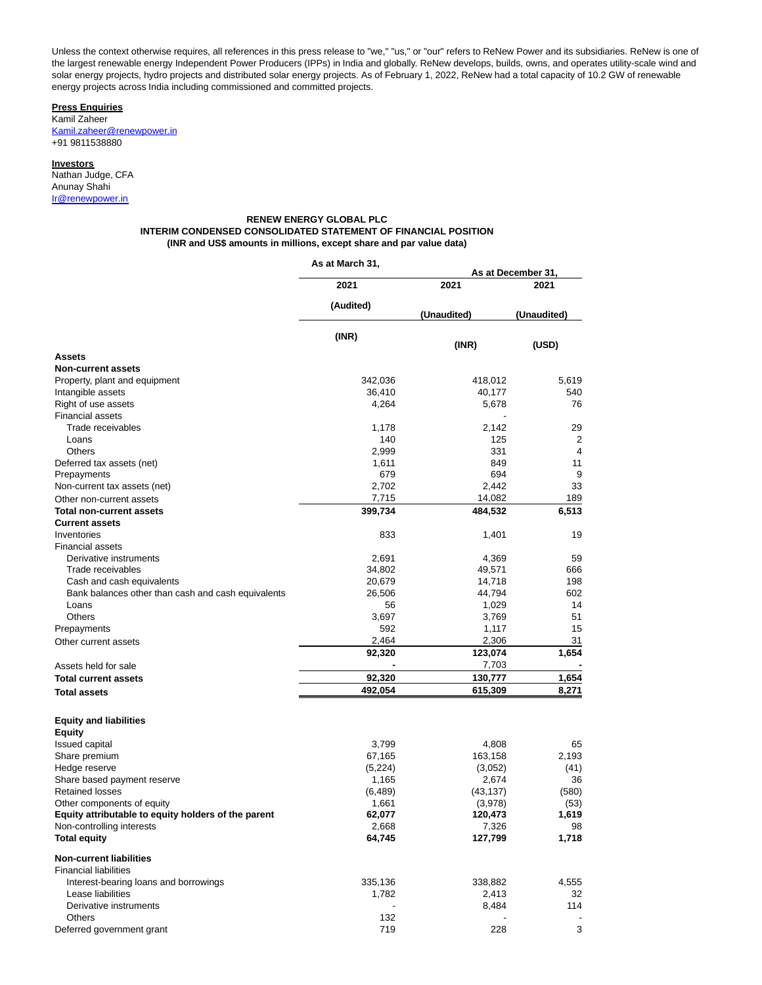Unless the context otherwise requires, all references in this press release to "we," "us," or "our" refers to ReNew Power and its subsidiaries. ReNew is one of the largest renewable energy Independent Power Producers (IPPs) in India and globally. ReNew develops, builds, owns, and operates utility-scale wind and solar energy projects, hydro projects and distributed solar energy projects. As of February 1, 2022, ReNew had a total capacity of 10.2 GW of renewable energy projects across India including commissioned and committed projects.

**Press Enquiries** Kamil Zaheer

[Kamil.zaheer@renewpower.in](mailto:Kamil.zaheer@renewpower.in) +91 9811538880

## **Investors**

Nathan Judge, CFA Anunay Shahi [Ir@renewpower.in](mailto:Ir@renewpower.in)

## **RENEW ENERGY GLOBAL PLC INTERIM CONDENSED CONSOLIDATED STATEMENT OF FINANCIAL POSITION (INR and US\$ amounts in millions, except share and par value data)**

|                                                     | As at March 31, | As at December 31. |               |  |  |
|-----------------------------------------------------|-----------------|--------------------|---------------|--|--|
|                                                     | 2021            | 2021               | 2021          |  |  |
|                                                     | (Audited)       | (Unaudited)        | (Unaudited)   |  |  |
|                                                     | (INR)           |                    |               |  |  |
| Assets                                              |                 | (INR)              | (USD)         |  |  |
| <b>Non-current assets</b>                           |                 |                    |               |  |  |
| Property, plant and equipment                       | 342,036         | 418,012            | 5,619         |  |  |
| Intangible assets                                   | 36,410          | 40,177             | 540           |  |  |
| Right of use assets                                 | 4,264           | 5,678              | 76            |  |  |
| <b>Financial assets</b>                             |                 |                    |               |  |  |
| Trade receivables                                   | 1,178           | 2,142              | 29            |  |  |
| Loans                                               | 140             | 125                | 2             |  |  |
| Others                                              | 2,999           | 331                | 4             |  |  |
| Deferred tax assets (net)                           | 1,611           | 849                | 11            |  |  |
| Prepayments                                         | 679             | 694                | 9             |  |  |
| Non-current tax assets (net)                        | 2,702           | 2,442              | 33            |  |  |
| Other non-current assets                            | 7,715           | 14,082             | 189           |  |  |
| <b>Total non-current assets</b>                     | 399,734         | 484,532            | 6,513         |  |  |
| <b>Current assets</b>                               |                 |                    |               |  |  |
| Inventories                                         | 833             | 1,401              | 19            |  |  |
| <b>Financial assets</b>                             |                 |                    |               |  |  |
| Derivative instruments                              | 2,691           | 4,369              | 59            |  |  |
| Trade receivables                                   | 34,802          | 49,571             | 666           |  |  |
| Cash and cash equivalents                           | 20,679          | 14,718             | 198           |  |  |
| Bank balances other than cash and cash equivalents  | 26,506          | 44,794             | 602           |  |  |
| Loans                                               | 56              | 1,029              | 14            |  |  |
| Others                                              | 3,697           | 3,769              | 51            |  |  |
| Prepayments                                         | 592             | 1,117              | 15            |  |  |
| Other current assets                                | 2,464           | 2,306              | 31            |  |  |
|                                                     | 92,320          | 123,074            | 1,654         |  |  |
| Assets held for sale                                |                 | 7,703              |               |  |  |
| <b>Total current assets</b>                         | 92,320          | 130,777            | 1,654         |  |  |
| <b>Total assets</b>                                 | 492,054         | 615,309            | 8,271         |  |  |
|                                                     |                 |                    |               |  |  |
| <b>Equity and liabilities</b>                       |                 |                    |               |  |  |
| Equity                                              |                 |                    |               |  |  |
| <b>Issued capital</b><br>Share premium              | 3,799<br>67,165 | 4,808<br>163,158   | 65            |  |  |
|                                                     |                 |                    | 2,193         |  |  |
| Hedge reserve<br>Share based payment reserve        | (5,224)         | (3,052)<br>2,674   | (41)<br>36    |  |  |
| <b>Retained losses</b>                              | 1,165           |                    |               |  |  |
|                                                     | (6, 489)        | (43, 137)          | (580)<br>(53) |  |  |
| Other components of equity                          | 1,661           | (3,978)            |               |  |  |
| Equity attributable to equity holders of the parent | 62,077          | 120,473            | 1,619         |  |  |
| Non-controlling interests<br><b>Total equity</b>    | 2,668<br>64,745 | 7,326<br>127,799   | 98<br>1,718   |  |  |
| <b>Non-current liabilities</b>                      |                 |                    |               |  |  |
| <b>Financial liabilities</b>                        |                 |                    |               |  |  |
| Interest-bearing loans and borrowings               | 335,136         | 338,882            | 4,555         |  |  |
| Lease liabilities                                   | 1,782           | 2,413              | 32            |  |  |
| Derivative instruments                              |                 | 8,484              | 114           |  |  |
| Others                                              | 132             |                    |               |  |  |

Deferred government grant The Contract Contract Contract Contract Contract Contract Contract Contract Contract Contract Contract Contract Contract Contract Contract Contract Contract Contract Contract Contract Contract Con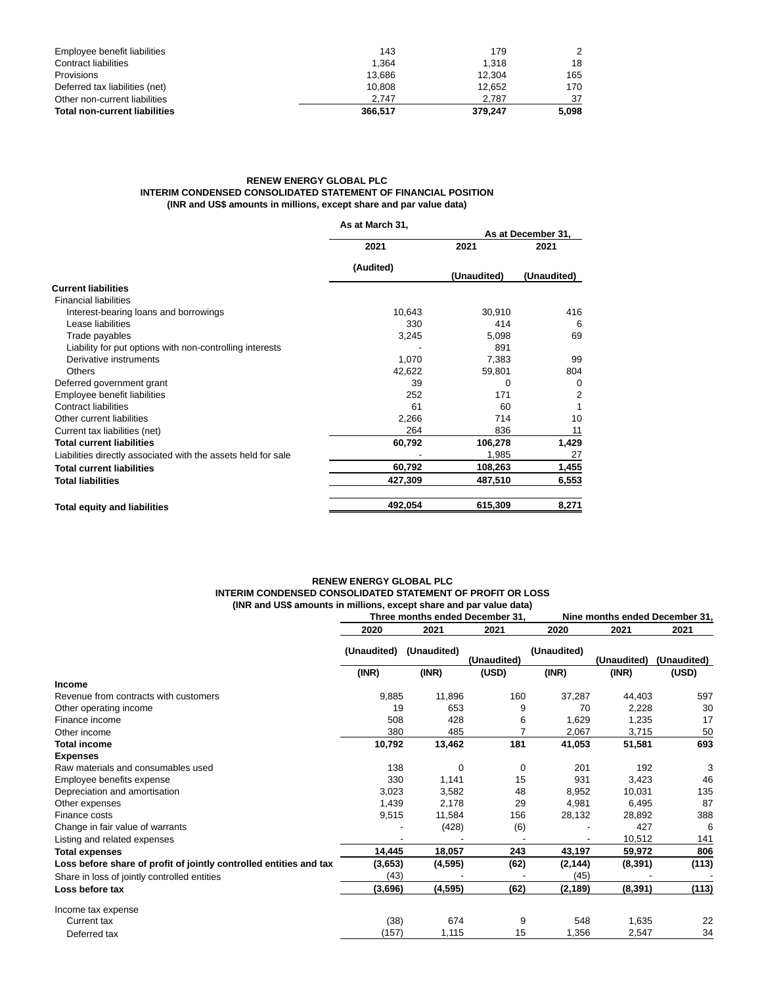| Employee benefit liabilities         | 143     | 179     | 2     |
|--------------------------------------|---------|---------|-------|
| Contract liabilities                 | 1.364   | 1.318   | 18    |
| Provisions                           | 13.686  | 12.304  | 165   |
| Deferred tax liabilities (net)       | 10.808  | 12.652  | 170   |
| Other non-current liabilities        | 2.747   | 2.787   | 37    |
| <b>Total non-current liabilities</b> | 366.517 | 379.247 | 5.098 |

## **RENEW ENERGY GLOBAL PLC INTERIM CONDENSED CONSOLIDATED STATEMENT OF FINANCIAL POSITION (INR and US\$ amounts in millions, except share and par value data)**

|                                                               | As at March 31, |             |                    |
|---------------------------------------------------------------|-----------------|-------------|--------------------|
|                                                               |                 |             | As at December 31, |
|                                                               | 2021            | 2021        | 2021               |
|                                                               | (Audited)       | (Unaudited) | (Unaudited)        |
| <b>Current liabilities</b>                                    |                 |             |                    |
| <b>Financial liabilities</b>                                  |                 |             |                    |
| Interest-bearing loans and borrowings                         | 10,643          | 30,910      | 416                |
| Lease liabilities                                             | 330             | 414         | 6                  |
| Trade payables                                                | 3,245           | 5,098       | 69                 |
| Liability for put options with non-controlling interests      |                 | 891         |                    |
| Derivative instruments                                        | 1,070           | 7,383       | 99                 |
| Others                                                        | 42,622          | 59,801      | 804                |
| Deferred government grant                                     | 39              | 0           | $\Omega$           |
| Employee benefit liabilities                                  | 252             | 171         | 2                  |
| Contract liabilities                                          | 61              | 60          |                    |
| Other current liabilities                                     | 2,266           | 714         | 10                 |
| Current tax liabilities (net)                                 | 264             | 836         | 11                 |
| <b>Total current liabilities</b>                              | 60,792          | 106,278     | 1,429              |
| Liabilities directly associated with the assets held for sale |                 | 1,985       | 27                 |
| <b>Total current liabilities</b>                              | 60,792          | 108,263     | 1,455              |
| <b>Total liabilities</b>                                      | 427,309         | 487,510     | 6,553              |
| <b>Total equity and liabilities</b>                           | 492,054         | 615,309     | 8,271              |

## **RENEW ENERGY GLOBAL PLC INTERIM CONDENSED CONSOLIDATED STATEMENT OF PROFIT OR LOSS (INR and US\$ amounts in millions, except share and par value data)**

|                                                                    |             | Three months ended December 31. |             |             | Nine months ended December 31. |             |  |  |
|--------------------------------------------------------------------|-------------|---------------------------------|-------------|-------------|--------------------------------|-------------|--|--|
|                                                                    | 2020        | 2021                            | 2021        | 2020        | 2021                           | 2021        |  |  |
|                                                                    | (Unaudited) | (Unaudited)                     | (Unaudited) | (Unaudited) | (Unaudited)                    | (Unaudited) |  |  |
|                                                                    | (INR)       | (INR)                           | (USD)       | (INR)       | (INR)                          | (USD)       |  |  |
| Income                                                             |             |                                 |             |             |                                |             |  |  |
| Revenue from contracts with customers                              | 9.885       | 11,896                          | 160         | 37,287      | 44,403                         | 597         |  |  |
| Other operating income                                             | 19          | 653                             | 9           | 70          | 2,228                          | 30          |  |  |
| Finance income                                                     | 508         | 428                             | 6           | 1,629       | 1,235                          | 17          |  |  |
| Other income                                                       | 380         | 485                             | 7           | 2,067       | 3,715                          | 50          |  |  |
| <b>Total income</b>                                                | 10,792      | 13,462                          | 181         | 41,053      | 51,581                         | 693         |  |  |
| <b>Expenses</b>                                                    |             |                                 |             |             |                                |             |  |  |
| Raw materials and consumables used                                 | 138         | 0                               | 0           | 201         | 192                            | 3           |  |  |
| Employee benefits expense                                          | 330         | 1,141                           | 15          | 931         | 3,423                          | 46          |  |  |
| Depreciation and amortisation                                      | 3,023       | 3,582                           | 48          | 8,952       | 10,031                         | 135         |  |  |
| Other expenses                                                     | 1,439       | 2,178                           | 29          | 4,981       | 6,495                          | 87          |  |  |
| Finance costs                                                      | 9,515       | 11,584                          | 156         | 28,132      | 28,892                         | 388         |  |  |
| Change in fair value of warrants                                   |             | (428)                           | (6)         |             | 427                            | 6           |  |  |
| Listing and related expenses                                       |             |                                 |             |             | 10,512                         | 141         |  |  |
| <b>Total expenses</b>                                              | 14,445      | 18,057                          | 243         | 43,197      | 59,972                         | 806         |  |  |
| Loss before share of profit of jointly controlled entities and tax | (3,653)     | (4, 595)                        | (62)        | (2, 144)    | (8, 391)                       | (113)       |  |  |
| Share in loss of jointly controlled entities                       | (43)        |                                 |             | (45)        |                                |             |  |  |
| Loss before tax                                                    | (3,696)     | (4, 595)                        | (62)        | (2, 189)    | (8, 391)                       | (113)       |  |  |
| Income tax expense                                                 |             |                                 |             |             |                                |             |  |  |
| Current tax                                                        | (38)        | 674                             | 9           | 548         | 1,635                          | 22          |  |  |
| Deferred tax                                                       | (157)       | 1,115                           | 15          | 1,356       | 2,547                          | 34          |  |  |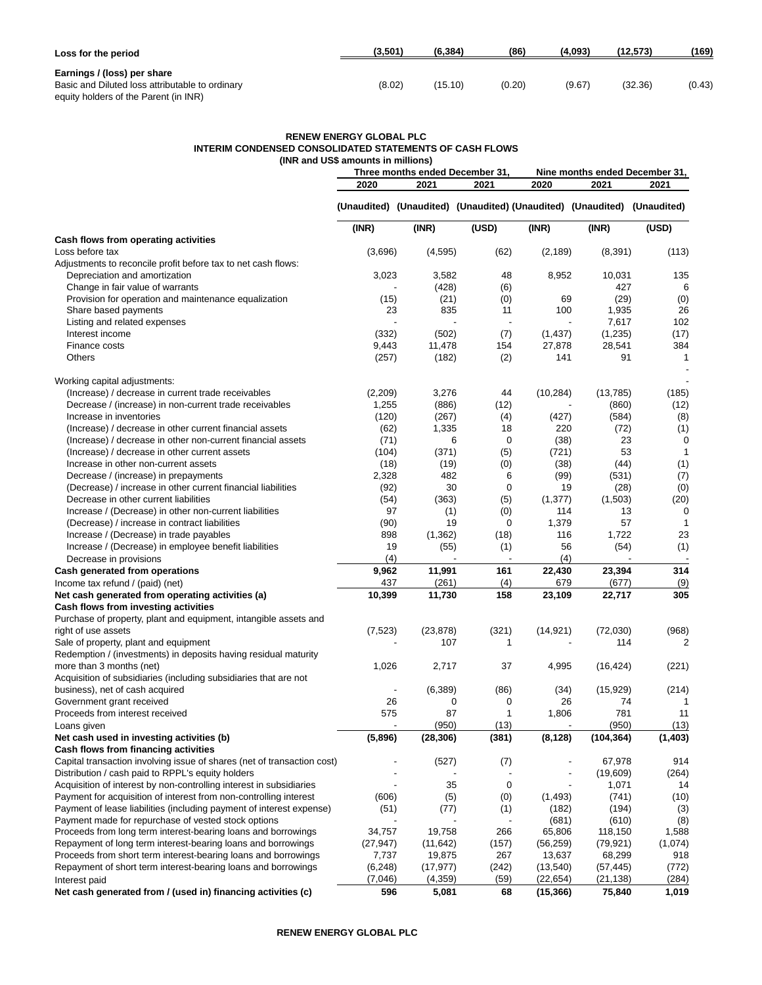| Loss for the period                                                                                                     | (3,501) | (6, 384) | (86)   | (4,093) | (12, 573) | (169)  |
|-------------------------------------------------------------------------------------------------------------------------|---------|----------|--------|---------|-----------|--------|
| Earnings / (loss) per share<br>Basic and Diluted loss attributable to ordinary<br>equity holders of the Parent (in INR) | (8.02)  | (15.10)  | (0.20) | (9.67)  | (32.36)   | (0.43) |

## **RENEW ENERGY GLOBAL PLC INTERIM CONDENSED CONSOLIDATED STATEMENTS OF CASH FLOWS (INR and US\$ amounts in millions)**

|                                                                         |           | Three months ended December 31, |                                                                         |           | Nine months ended December 31, |                |  |  |
|-------------------------------------------------------------------------|-----------|---------------------------------|-------------------------------------------------------------------------|-----------|--------------------------------|----------------|--|--|
|                                                                         | 2020      | 2021                            | 2021                                                                    | 2020      | 2021                           | 2021           |  |  |
|                                                                         |           |                                 | (Unaudited) (Unaudited) (Unaudited) (Unaudited) (Unaudited) (Unaudited) |           |                                |                |  |  |
|                                                                         | (INR)     | (INR)                           | (USD)                                                                   | (INR)     | (INR)                          | (USD)          |  |  |
| Cash flows from operating activities                                    |           |                                 |                                                                         |           |                                |                |  |  |
| Loss before tax                                                         | (3,696)   | (4, 595)                        | (62)                                                                    | (2, 189)  | (8, 391)                       | (113)          |  |  |
| Adjustments to reconcile profit before tax to net cash flows:           |           |                                 |                                                                         |           |                                |                |  |  |
| Depreciation and amortization                                           | 3,023     | 3,582                           | 48                                                                      | 8,952     | 10,031                         | 135            |  |  |
| Change in fair value of warrants                                        |           | (428)                           | (6)                                                                     |           | 427                            | 6              |  |  |
| Provision for operation and maintenance equalization                    | (15)      | (21)                            | (0)                                                                     | 69        | (29)                           | (0)            |  |  |
| Share based payments                                                    | 23        | 835                             | 11                                                                      | 100       | 1,935                          | 26             |  |  |
| Listing and related expenses                                            |           |                                 |                                                                         |           | 7,617                          | 102            |  |  |
| Interest income                                                         | (332)     | (502)                           | (7)                                                                     | (1, 437)  | (1, 235)                       | (17)           |  |  |
| Finance costs                                                           | 9,443     | 11,478                          | 154                                                                     | 27,878    | 28,541                         | 384            |  |  |
| Others                                                                  | (257)     | (182)                           | (2)                                                                     | 141       | 91                             | $\mathbf{1}$   |  |  |
| Working capital adjustments:                                            |           |                                 |                                                                         |           |                                |                |  |  |
| (Increase) / decrease in current trade receivables                      | (2,209)   | 3,276                           | 44                                                                      | (10, 284) | (13,785)                       | (185)          |  |  |
| Decrease / (increase) in non-current trade receivables                  | 1,255     | (886)                           | (12)                                                                    |           | (860)                          | (12)           |  |  |
| Increase in inventories                                                 | (120)     | (267)                           | (4)                                                                     | (427)     | (584)                          | (8)            |  |  |
| (Increase) / decrease in other current financial assets                 | (62)      | 1,335                           | 18                                                                      | 220       | (72)                           | (1)            |  |  |
| (Increase) / decrease in other non-current financial assets             | (71)      |                                 | 6<br>0                                                                  | (38)      | 23                             | 0              |  |  |
| (Increase) / decrease in other current assets                           | (104)     | (371)                           | (5)                                                                     | (721)     | 53                             | $\mathbf{1}$   |  |  |
| Increase in other non-current assets                                    | (18)      | (19)                            | (0)                                                                     | (38)      | (44)                           | (1)            |  |  |
| Decrease / (increase) in prepayments                                    | 2,328     | 482                             | 6                                                                       | (99)      | (531)                          | (7)            |  |  |
| (Decrease) / increase in other current financial liabilities            | (92)      | 30                              | 0                                                                       | 19        | (28)                           | (0)            |  |  |
| Decrease in other current liabilities                                   | (54)      | (363)                           | (5)                                                                     | (1, 377)  | (1,503)                        | (20)           |  |  |
| Increase / (Decrease) in other non-current liabilities                  | 97        | (1)                             | (0)                                                                     | 114       | 13                             | 0              |  |  |
| (Decrease) / increase in contract liabilities                           | (90)      | 19                              | 0                                                                       | 1,379     | 57                             | $\mathbf{1}$   |  |  |
| Increase / (Decrease) in trade payables                                 | 898       | (1, 362)                        | (18)                                                                    | 116       | 1,722                          | 23             |  |  |
| Increase / (Decrease) in employee benefit liabilities                   | 19        | (55)                            | (1)                                                                     | 56        | (54)                           | (1)            |  |  |
| Decrease in provisions                                                  | (4)       |                                 |                                                                         | (4)       |                                |                |  |  |
| Cash generated from operations                                          | 9,962     | 11,991                          | 161                                                                     | 22,430    | 23,394                         | 314            |  |  |
| Income tax refund / (paid) (net)                                        | 437       | (261)                           | (4)                                                                     | 679       | (677)                          | (9)            |  |  |
| Net cash generated from operating activities (a)                        | 10,399    | 11,730                          | 158                                                                     | 23,109    | 22,717                         | 305            |  |  |
| Cash flows from investing activities                                    |           |                                 |                                                                         |           |                                |                |  |  |
| Purchase of property, plant and equipment, intangible assets and        |           |                                 |                                                                         |           |                                |                |  |  |
| right of use assets                                                     | (7, 523)  | (23, 878)                       | (321)                                                                   | (14, 921) | (72,030)                       | (968)          |  |  |
| Sale of property, plant and equipment                                   |           | 107                             | 1                                                                       |           | 114                            | $\overline{2}$ |  |  |
| Redemption / (investments) in deposits having residual maturity         |           |                                 |                                                                         |           |                                |                |  |  |
| more than 3 months (net)                                                | 1,026     | 2,717                           | 37                                                                      | 4,995     | (16, 424)                      | (221)          |  |  |
| Acquisition of subsidiaries (including subsidiaries that are not        |           |                                 |                                                                         |           |                                |                |  |  |
| business), net of cash acquired                                         |           | (6, 389)                        | (86)                                                                    | (34)      | (15, 929)                      | (214)          |  |  |
| Government grant received                                               | 26        |                                 | 0<br>0                                                                  | 26        | 74                             | $\mathbf{1}$   |  |  |
| Proceeds from interest received                                         | 575       | 87                              | 1                                                                       | 1,806     | 781                            | 11             |  |  |
| Loans given                                                             |           | (950)                           | (13)                                                                    |           | (950)                          | (13)           |  |  |
| Net cash used in investing activities (b)                               | (5,896)   | (28, 306)                       | (381)                                                                   | (8, 128)  | (104, 364)                     | (1, 403)       |  |  |
| Cash flows from financing activities                                    |           |                                 |                                                                         |           |                                |                |  |  |
| Capital transaction involving issue of shares (net of transaction cost) |           | (527)                           | (7)                                                                     |           | 67,978                         | 914            |  |  |
| Distribution / cash paid to RPPL's equity holders                       |           |                                 |                                                                         |           | (19,609)                       | (264)          |  |  |
| Acquisition of interest by non-controlling interest in subsidiaries     |           | 35                              | 0                                                                       |           | 1,071                          | 14             |  |  |
| Payment for acquisition of interest from non-controlling interest       | (606)     | (5)                             | (0)                                                                     | (1, 493)  | (741)                          | (10)           |  |  |
| Payment of lease liabilities (including payment of interest expense)    | (51)      | (77)                            | (1)                                                                     | (182)     | (194)                          | (3)            |  |  |
| Payment made for repurchase of vested stock options                     |           |                                 |                                                                         | (681)     | (610)                          | (8)            |  |  |
| Proceeds from long term interest-bearing loans and borrowings           | 34,757    | 19,758                          | 266                                                                     | 65,806    | 118,150                        | 1,588          |  |  |
| Repayment of long term interest-bearing loans and borrowings            | (27, 947) | (11, 642)                       | (157)                                                                   | (56, 259) | (79, 921)                      | (1,074)        |  |  |
| Proceeds from short term interest-bearing loans and borrowings          | 7,737     | 19,875                          | 267                                                                     | 13,637    | 68,299                         | 918            |  |  |
| Repayment of short term interest-bearing loans and borrowings           | (6, 248)  | (17, 977)                       | (242)                                                                   | (13, 540) | (57, 445)                      | (772)          |  |  |
| Interest paid                                                           | (7,046)   | (4, 359)                        | (59)                                                                    | (22,654)  | (21,138)                       | (284)          |  |  |
| Net cash generated from / (used in) financing activities (c)            | 596       | 5,081                           | 68                                                                      | (15, 366) | 75,840                         | 1,019          |  |  |